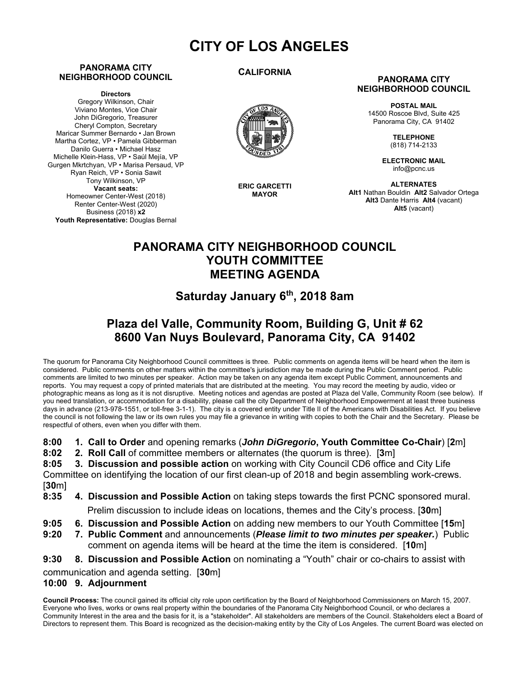# **CITY OF LOS ANGELES**

#### **PANORAMA CITY NEIGHBORHOOD COUNCIL**

**Directors**

Gregory Wilkinson, Chair Viviano Montes, Vice Chair John DiGregorio, Treasurer Cheryl Compton, Secretary Maricar Summer Bernardo • Jan Brown Martha Cortez, VP • Pamela Gibberman Danilo Guerra • Michael Hasz Michelle Klein-Hass, VP • Saúl Mejía, VP Gurgen Mkrtchyan, VP • Marisa Persaud, VP Ryan Reich, VP • Sonia Sawit Tony Wilkinson, VP **Vacant seats:**  Homeowner Center-West (2018) Renter Center-West (2020) Business (2018) **x2 Youth Representative:** Douglas Bernal

#### **CALIFORNIA**



**ERIC GARCETTI MAYOR**

#### **PANORAMA CITY NEIGHBORHOOD COUNCIL**

**POSTAL MAIL** 14500 Roscoe Blvd, Suite 425 Panorama City, CA 91402

> **TELEPHONE** (818) 714-2133

**ELECTRONIC MAIL** info@pcnc.us

**ALTERNATES Alt1** Nathan Bouldin **Alt2** Salvador Ortega **Alt3** Dante Harris **Alt4** (vacant) **Alt5** (vacant)

### **PANORAMA CITY NEIGHBORHOOD COUNCIL YOUTH COMMITTEE MEETING AGENDA**

### **Saturday January 6th, 2018 8am**

## **Plaza del Valle, Community Room, Building G, Unit # 62 8600 Van Nuys Boulevard, Panorama City, CA 91402**

The quorum for Panorama City Neighborhood Council committees is three. Public comments on agenda items will be heard when the item is considered. Public comments on other matters within the committee's jurisdiction may be made during the Public Comment period. Public comments are limited to two minutes per speaker. Action may be taken on any agenda item except Public Comment, announcements and reports. You may request a copy of printed materials that are distributed at the meeting. You may record the meeting by audio, video or photographic means as long as it is not disruptive. Meeting notices and agendas are posted at Plaza del Valle, Community Room (see below). If you need translation, or accommodation for a disability, please call the city Department of Neighborhood Empowerment at least three business days in advance (213-978-1551, or toll-free 3-1-1). The city is a covered entity under Title II of the Americans with Disabilities Act. If you believe the council is not following the law or its own rules you may file a grievance in writing with copies to both the Chair and the Secretary. Please be respectful of others, even when you differ with them.

**8:00 1. Call to Order** and opening remarks (*John DiGregorio***, Youth Committee Co-Chair**) [**2**m]

**8:02 2. Roll Call** of committee members or alternates (the quorum is three). [**3**m]

**8:05 3. Discussion and possible action** on working with City Council CD6 office and City Life Committee on identifying the location of our first clean-up of 2018 and begin assembling work-crews. [**30**m]

**8:35 4. Discussion and Possible Action** on taking steps towards the first PCNC sponsored mural.

Prelim discussion to include ideas on locations, themes and the City's process. [**30**m]

- **9:05 6. Discussion and Possible Action** on adding new members to our Youth Committee [**15**m]
- **9:20 7. Public Comment** and announcements (*Please limit to two minutes per speaker.*) Public comment on agenda items will be heard at the time the item is considered. [**10**m]

**9:30 8. Discussion and Possible Action** on nominating a "Youth" chair or co-chairs to assist with

communication and agenda setting. [**30**m] **10:00 9. Adjournment** 

**Council Process:** The council gained its official city role upon certification by the Board of Neighborhood Commissioners on March 15, 2007. Everyone who lives, works or owns real property within the boundaries of the Panorama City Neighborhood Council, or who declares a Community Interest in the area and the basis for it, is a "stakeholder". All stakeholders are members of the Council. Stakeholders elect a Board of Directors to represent them. This Board is recognized as the decision-making entity by the City of Los Angeles. The current Board was elected on